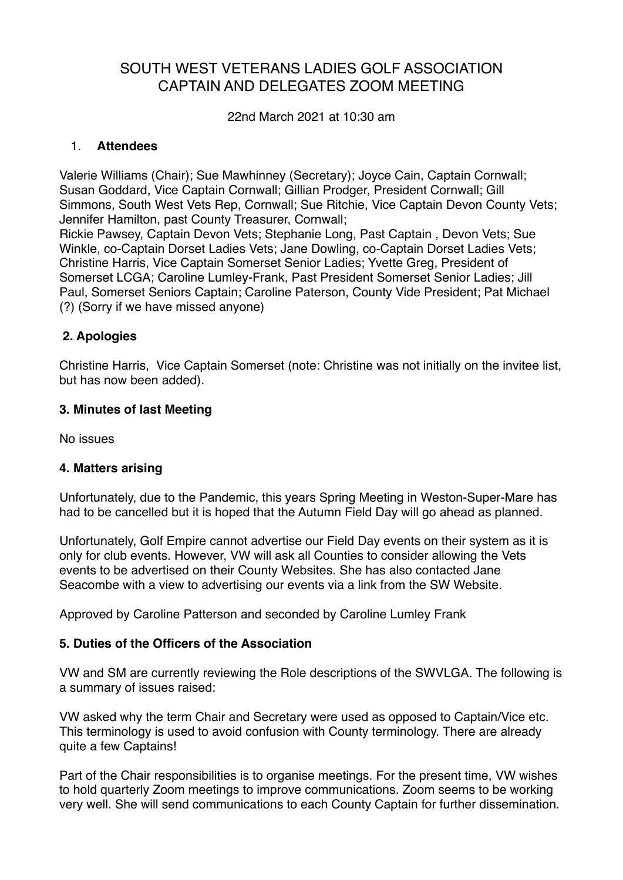# SOUTH WEST VETERANS LADIES GOLF ASSOCIATION CAPTAIN AND DELEGATES ZOOM MEETING

22nd March 2021 at 10:30 am

## 1. **Attendees**

Valerie Williams (Chair); Sue Mawhinney (Secretary); Joyce Cain, Captain Cornwall; Susan Goddard, Vice Captain Cornwall; Gillian Prodger, President Cornwall; Gill Simmons, South West Vets Rep, Cornwall; Sue Ritchie, Vice Captain Devon County Vets; Jennifer Hamilton, past County Treasurer, Cornwall; Rickie Pawsey, Captain Devon Vets; Stephanie Long, Past Captain , Devon Vets; Sue Winkle, co-Captain Dorset Ladies Vets; Jane Dowling, co-Captain Dorset Ladies Vets;

Christine Harris, Vice Captain Somerset Senior Ladies; Yvette Greg, President of Somerset LCGA; Caroline Lumley-Frank, Past President Somerset Senior Ladies; Jill Paul, Somerset Seniors Captain; Caroline Paterson, County Vide President; Pat Michael (?) (Sorry if we have missed anyone)

# **2. Apologies**

Christine Harris, Vice Captain Somerset (note: Christine was not initially on the invitee list, but has now been added).

## **3. Minutes of last Meeting**

No issues

#### **4. Matters arising**

Unfortunately, due to the Pandemic, this years Spring Meeting in Weston-Super-Mare has had to be cancelled but it is hoped that the Autumn Field Day will go ahead as planned.

Unfortunately, Golf Empire cannot advertise our Field Day events on their system as it is only for club events. However, VW will ask all Counties to consider allowing the Vets events to be advertised on their County Websites. She has also contacted Jane Seacombe with a view to advertising our events via a link from the SW Website.

Approved by Caroline Patterson and seconded by Caroline Lumley Frank

#### **5. Duties of the Officers of the Association**

VW and SM are currently reviewing the Role descriptions of the SWVLGA. The following is a summary of issues raised:

VW asked why the term Chair and Secretary were used as opposed to Captain/Vice etc. This terminology is used to avoid confusion with County terminology. There are already quite a few Captains!

Part of the Chair responsibilities is to organise meetings. For the present time, VW wishes to hold quarterly Zoom meetings to improve communications. Zoom seems to be working very well. She will send communications to each County Captain for further dissemination.